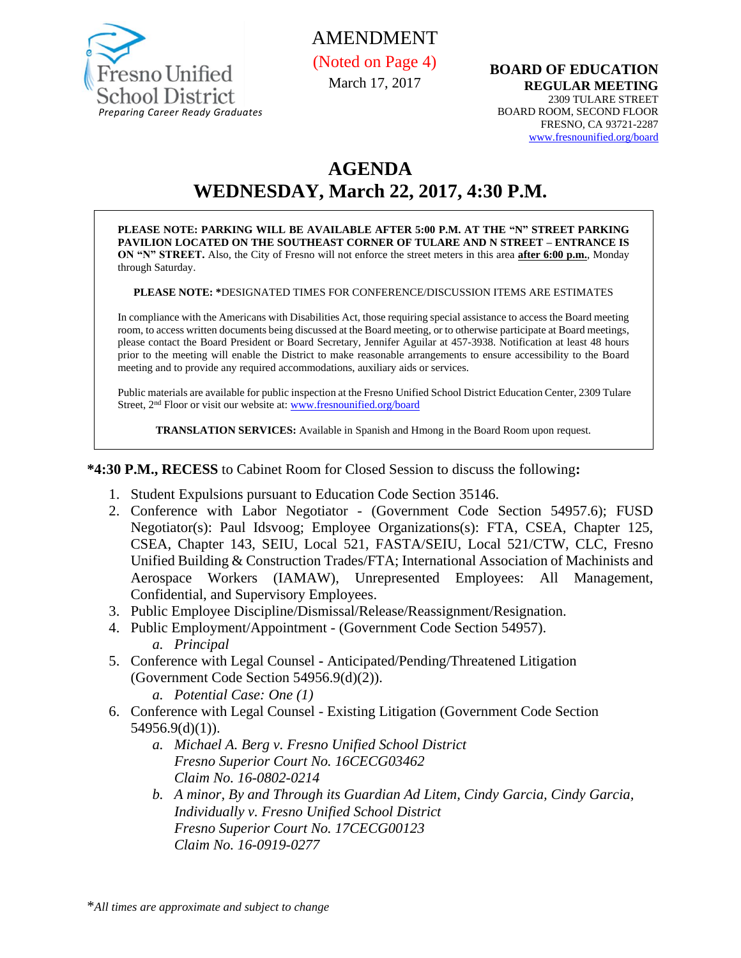

# AMENDMENT (Noted on Page 4)

March 17, 2017

**BOARD OF EDUCATION REGULAR MEETING** 2309 TULARE STREET BOARD ROOM, SECOND FLOOR FRESNO, CA 93721-2287 [www.fresnounified.org/board](http://www.fresnounified.org/board)

# **AGENDA WEDNESDAY, March 22, 2017, 4:30 P.M.**

**PLEASE NOTE: PARKING WILL BE AVAILABLE AFTER 5:00 P.M. AT THE "N" STREET PARKING PAVILION LOCATED ON THE SOUTHEAST CORNER OF TULARE AND N STREET – ENTRANCE IS ON "N" STREET.** Also, the City of Fresno will not enforce the street meters in this area **after 6:00 p.m.**, Monday through Saturday.

**PLEASE NOTE: \***DESIGNATED TIMES FOR CONFERENCE/DISCUSSION ITEMS ARE ESTIMATES

In compliance with the Americans with Disabilities Act, those requiring special assistance to access the Board meeting room, to access written documents being discussed at the Board meeting, or to otherwise participate at Board meetings, please contact the Board President or Board Secretary, Jennifer Aguilar at 457-3938. Notification at least 48 hours prior to the meeting will enable the District to make reasonable arrangements to ensure accessibility to the Board meeting and to provide any required accommodations, auxiliary aids or services.

Public materials are available for public inspection at the Fresno Unified School District Education Center, 2309 Tulare Street, 2<sup>nd</sup> Floor or visit our website at: [www.fresnounified.org/board](http://www.fresnounified.org/board)

**TRANSLATION SERVICES:** Available in Spanish and Hmong in the Board Room upon request.

**\*4:30 P.M., RECESS** to Cabinet Room for Closed Session to discuss the following**:**

- 1. Student Expulsions pursuant to Education Code Section 35146.
- 2. Conference with Labor Negotiator (Government Code Section 54957.6); FUSD Negotiator(s): Paul Idsvoog; Employee Organizations(s): FTA, CSEA, Chapter 125, CSEA, Chapter 143, SEIU, Local 521, FASTA/SEIU, Local 521/CTW, CLC, Fresno Unified Building & Construction Trades/FTA; International Association of Machinists and Aerospace Workers (IAMAW), Unrepresented Employees: All Management, Confidential, and Supervisory Employees.
- 3. Public Employee Discipline/Dismissal/Release/Reassignment/Resignation.
- 4. Public Employment/Appointment (Government Code Section 54957). *a. Principal*
- 5. Conference with Legal Counsel **-** Anticipated/Pending/Threatened Litigation (Government Code Section 54956.9(d)(2)).

*a. Potential Case: One (1)*

- 6. Conference with Legal Counsel Existing Litigation (Government Code Section  $54956.9(d)(1)$ ).
	- *a. Michael A. Berg v. Fresno Unified School District Fresno Superior Court No. 16CECG03462 Claim No. 16-0802-0214*
	- *b. A minor, By and Through its Guardian Ad Litem, Cindy Garcia, Cindy Garcia, Individually v. Fresno Unified School District Fresno Superior Court No. 17CECG00123 Claim No. 16-0919-0277*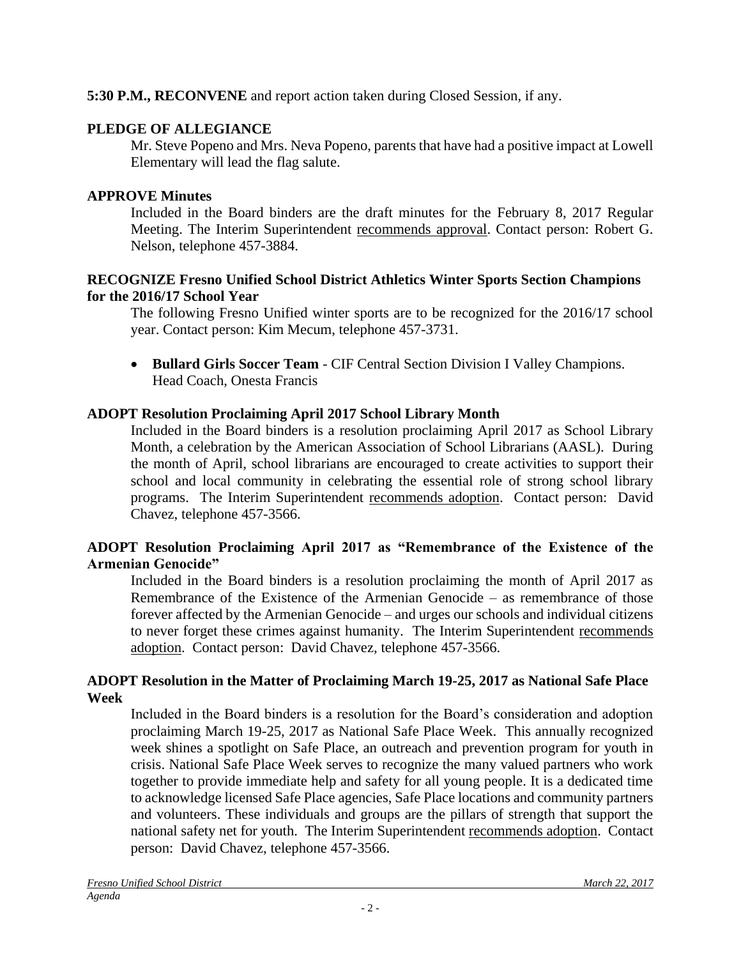# **5:30 P.M., RECONVENE** and report action taken during Closed Session, if any.

### **PLEDGE OF ALLEGIANCE**

Mr. Steve Popeno and Mrs. Neva Popeno, parents that have had a positive impact at Lowell Elementary will lead the flag salute.

### **APPROVE Minutes**

Included in the Board binders are the draft minutes for the February 8, 2017 Regular Meeting. The Interim Superintendent recommends approval. Contact person: Robert G. Nelson, telephone 457-3884.

### **RECOGNIZE Fresno Unified School District Athletics Winter Sports Section Champions for the 2016/17 School Year**

The following Fresno Unified winter sports are to be recognized for the 2016/17 school year. Contact person: Kim Mecum, telephone 457-3731.

 **Bullard Girls Soccer Team** - CIF Central Section Division I Valley Champions. Head Coach, Onesta Francis

# **ADOPT Resolution Proclaiming April 2017 School Library Month**

Included in the Board binders is a resolution proclaiming April 2017 as School Library Month, a celebration by the American Association of School Librarians (AASL). During the month of April, school librarians are encouraged to create activities to support their school and local community in celebrating the essential role of strong school library programs. The Interim Superintendent recommends adoption. Contact person: David Chavez, telephone 457-3566.

### **ADOPT Resolution Proclaiming April 2017 as "Remembrance of the Existence of the Armenian Genocide"**

Included in the Board binders is a resolution proclaiming the month of April 2017 as Remembrance of the Existence of the Armenian Genocide – as remembrance of those forever affected by the Armenian Genocide – and urges our schools and individual citizens to never forget these crimes against humanity. The Interim Superintendent recommends adoption. Contact person: David Chavez, telephone 457-3566.

### **ADOPT Resolution in the Matter of Proclaiming March 19-25, 2017 as National Safe Place Week**

Included in the Board binders is a resolution for the Board's consideration and adoption proclaiming March 19-25, 2017 as National Safe Place Week. This annually recognized week shines a spotlight on Safe Place, an outreach and prevention program for youth in crisis. National Safe Place Week serves to recognize the many valued partners who work together to provide immediate help and safety for all young people. It is a dedicated time to acknowledge licensed Safe Place agencies, Safe Place locations and community partners and volunteers. These individuals and groups are the pillars of strength that support the national safety net for youth. The Interim Superintendent recommends adoption. Contact person: David Chavez, telephone 457-3566.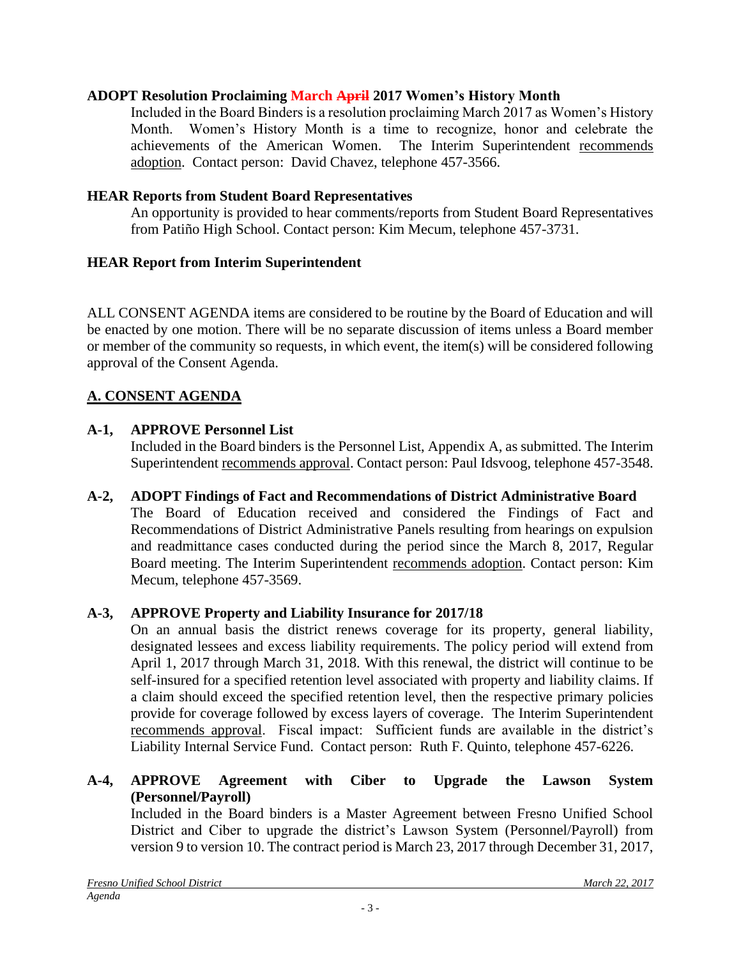### **ADOPT Resolution Proclaiming March April 2017 Women's History Month**

Included in the Board Binders is a resolution proclaiming March 2017 as Women's History Month. Women's History Month is a time to recognize, honor and celebrate the achievements of the American Women. The Interim Superintendent recommends adoption. Contact person: David Chavez, telephone 457-3566.

### **HEAR Reports from Student Board Representatives**

An opportunity is provided to hear comments/reports from Student Board Representatives from Patiño High School. Contact person: Kim Mecum, telephone 457-3731.

### **HEAR Report from Interim Superintendent**

ALL CONSENT AGENDA items are considered to be routine by the Board of Education and will be enacted by one motion. There will be no separate discussion of items unless a Board member or member of the community so requests, in which event, the item(s) will be considered following approval of the Consent Agenda.

# **A. CONSENT AGENDA**

### **A-1, APPROVE Personnel List**

Included in the Board binders is the Personnel List, Appendix A, as submitted. The Interim Superintendent recommends approval. Contact person: Paul Idsvoog, telephone 457-3548.

# **A-2, ADOPT Findings of Fact and Recommendations of District Administrative Board**

The Board of Education received and considered the Findings of Fact and Recommendations of District Administrative Panels resulting from hearings on expulsion and readmittance cases conducted during the period since the March 8, 2017, Regular Board meeting. The Interim Superintendent recommends adoption. Contact person: Kim Mecum, telephone 457-3569.

### **A-3, APPROVE Property and Liability Insurance for 2017/18**

On an annual basis the district renews coverage for its property, general liability, designated lessees and excess liability requirements. The policy period will extend from April 1, 2017 through March 31, 2018. With this renewal, the district will continue to be self-insured for a specified retention level associated with property and liability claims. If a claim should exceed the specified retention level, then the respective primary policies provide for coverage followed by excess layers of coverage. The Interim Superintendent recommends approval. Fiscal impact: Sufficient funds are available in the district's Liability Internal Service Fund. Contact person: Ruth F. Quinto, telephone 457-6226.

### **A-4, APPROVE Agreement with Ciber to Upgrade the Lawson System (Personnel/Payroll)**

Included in the Board binders is a Master Agreement between Fresno Unified School District and Ciber to upgrade the district's Lawson System (Personnel/Payroll) from version 9 to version 10. The contract period is March 23, 2017 through December 31, 2017,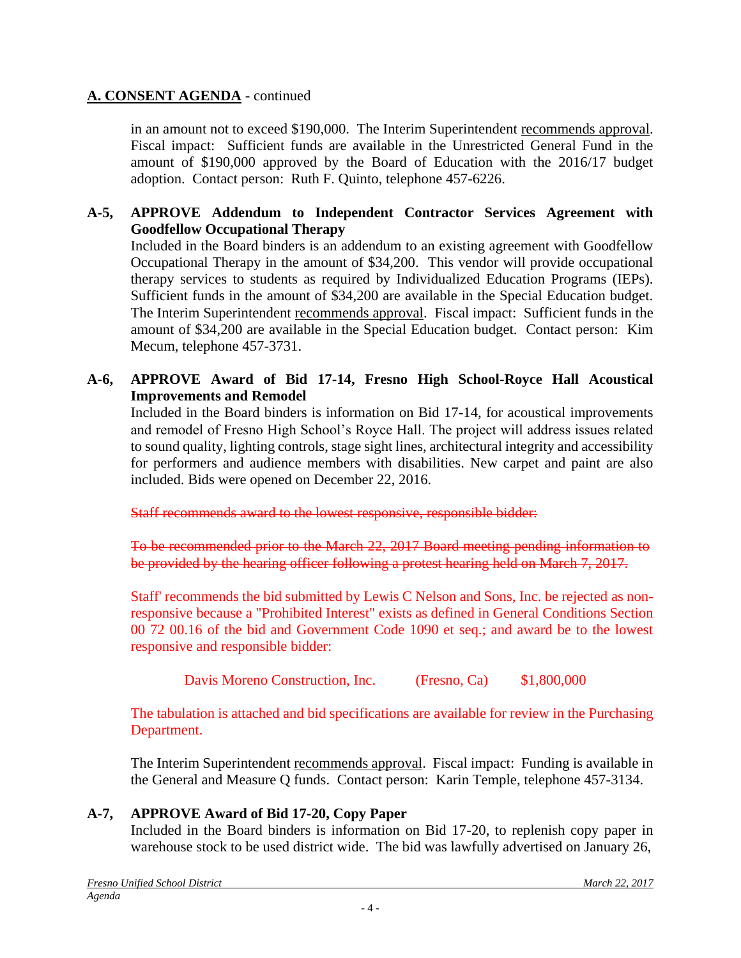in an amount not to exceed \$190,000. The Interim Superintendent recommends approval. Fiscal impact: Sufficient funds are available in the Unrestricted General Fund in the amount of \$190,000 approved by the Board of Education with the 2016/17 budget adoption. Contact person: Ruth F. Quinto, telephone 457-6226.

### **A-5, APPROVE Addendum to Independent Contractor Services Agreement with Goodfellow Occupational Therapy**

Included in the Board binders is an addendum to an existing agreement with Goodfellow Occupational Therapy in the amount of \$34,200. This vendor will provide occupational therapy services to students as required by Individualized Education Programs (IEPs). Sufficient funds in the amount of \$34,200 are available in the Special Education budget. The Interim Superintendent recommends approval. Fiscal impact: Sufficient funds in the amount of \$34,200 are available in the Special Education budget. Contact person: Kim Mecum, telephone 457-3731.

### **A-6, APPROVE Award of Bid 17-14, Fresno High School-Royce Hall Acoustical Improvements and Remodel**

Included in the Board binders is information on Bid 17-14, for acoustical improvements and remodel of Fresno High School's Royce Hall. The project will address issues related to sound quality, lighting controls, stage sight lines, architectural integrity and accessibility for performers and audience members with disabilities. New carpet and paint are also included. Bids were opened on December 22, 2016.

Staff recommends award to the lowest responsive, responsible bidder:

To be recommended prior to the March 22, 2017 Board meeting pending information to be provided by the hearing officer following a protest hearing held on March 7, 2017.

Staff' recommends the bid submitted by Lewis C Nelson and Sons, Inc. be rejected as nonresponsive because a "Prohibited Interest" exists as defined in General Conditions Section 00 72 00.16 of the bid and Government Code 1090 et seq.; and award be to the lowest responsive and responsible bidder:

Davis Moreno Construction, Inc. (Fresno, Ca) \$1,800,000

The tabulation is attached and bid specifications are available for review in the Purchasing Department.

The Interim Superintendent recommends approval. Fiscal impact: Funding is available in the General and Measure Q funds. Contact person: Karin Temple, telephone 457-3134.

# **A-7, APPROVE Award of Bid 17-20, Copy Paper**

Included in the Board binders is information on Bid 17-20, to replenish copy paper in warehouse stock to be used district wide. The bid was lawfully advertised on January 26,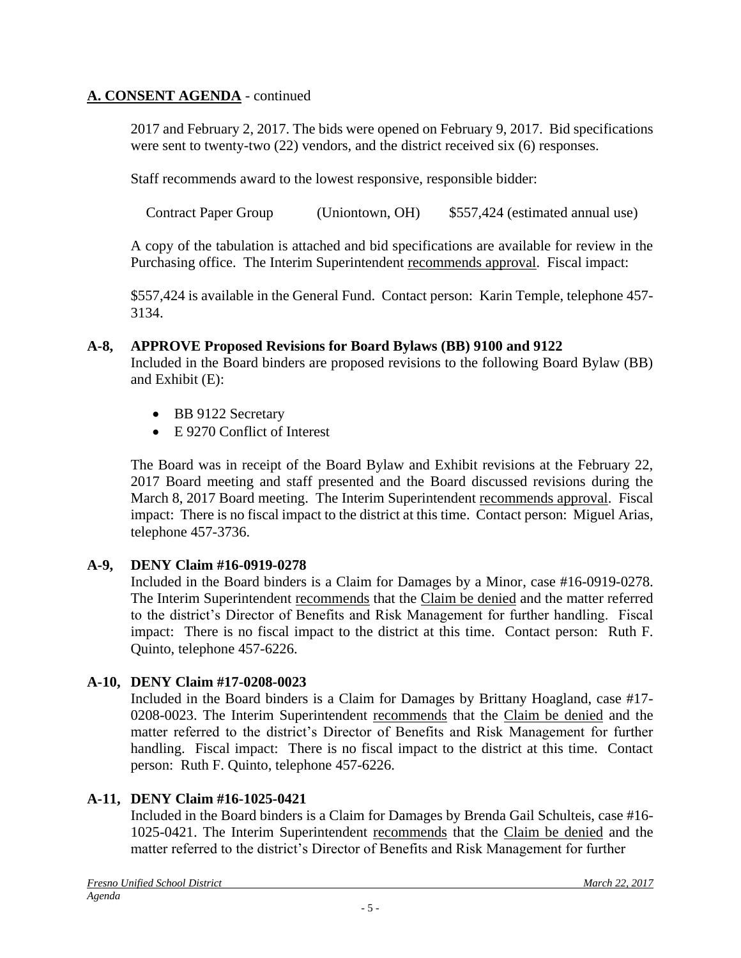2017 and February 2, 2017. The bids were opened on February 9, 2017. Bid specifications were sent to twenty-two (22) vendors, and the district received six (6) responses.

Staff recommends award to the lowest responsive, responsible bidder:

Contract Paper Group (Uniontown, OH) \$557,424 (estimated annual use)

A copy of the tabulation is attached and bid specifications are available for review in the Purchasing office. The Interim Superintendent recommends approval. Fiscal impact:

\$557,424 is available in the General Fund. Contact person: Karin Temple, telephone 457- 3134.

### **A-8, APPROVE Proposed Revisions for Board Bylaws (BB) 9100 and 9122**

Included in the Board binders are proposed revisions to the following Board Bylaw (BB) and Exhibit (E):

- BB 9122 Secretary
- E 9270 Conflict of Interest

The Board was in receipt of the Board Bylaw and Exhibit revisions at the February 22, 2017 Board meeting and staff presented and the Board discussed revisions during the March 8, 2017 Board meeting. The Interim Superintendent recommends approval. Fiscal impact: There is no fiscal impact to the district at this time. Contact person: Miguel Arias, telephone 457-3736.

# **A-9, DENY Claim #16-0919-0278**

Included in the Board binders is a Claim for Damages by a Minor, case #16-0919-0278. The Interim Superintendent recommends that the Claim be denied and the matter referred to the district's Director of Benefits and Risk Management for further handling. Fiscal impact: There is no fiscal impact to the district at this time. Contact person: Ruth F. Quinto, telephone 457-6226.

# **A-10, DENY Claim #17-0208-0023**

Included in the Board binders is a Claim for Damages by Brittany Hoagland, case #17- 0208-0023. The Interim Superintendent recommends that the Claim be denied and the matter referred to the district's Director of Benefits and Risk Management for further handling. Fiscal impact: There is no fiscal impact to the district at this time. Contact person: Ruth F. Quinto, telephone 457-6226.

# **A-11, DENY Claim #16-1025-0421**

Included in the Board binders is a Claim for Damages by Brenda Gail Schulteis, case #16- 1025-0421. The Interim Superintendent recommends that the Claim be denied and the matter referred to the district's Director of Benefits and Risk Management for further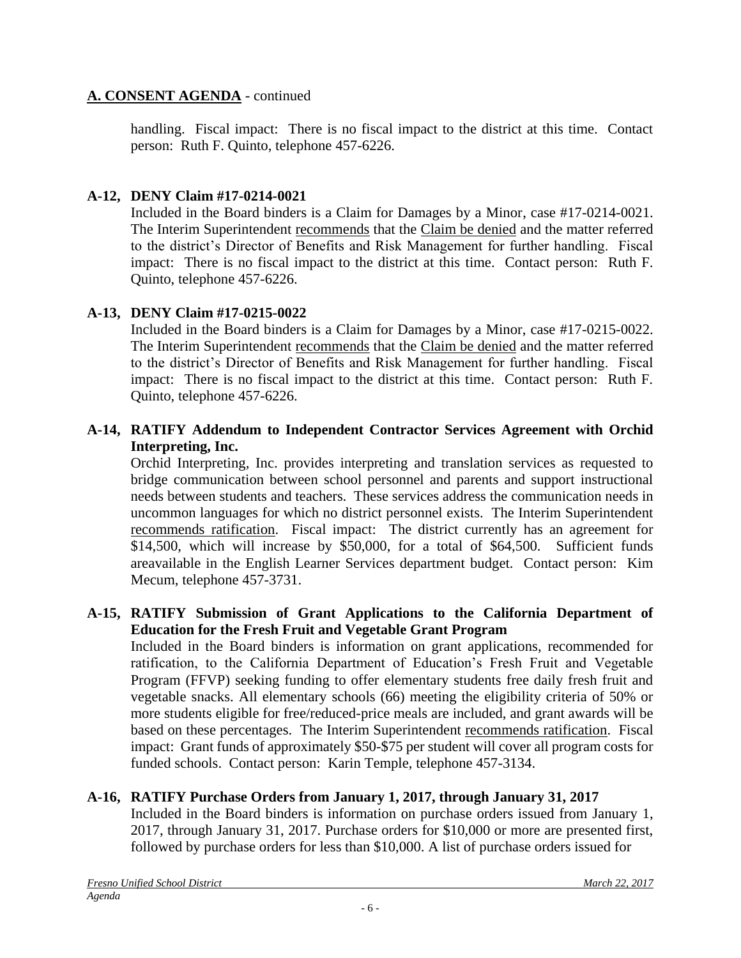handling. Fiscal impact: There is no fiscal impact to the district at this time. Contact person: Ruth F. Quinto, telephone 457-6226.

# **A-12, DENY Claim #17-0214-0021**

Included in the Board binders is a Claim for Damages by a Minor, case #17-0214-0021. The Interim Superintendent recommends that the Claim be denied and the matter referred to the district's Director of Benefits and Risk Management for further handling. Fiscal impact: There is no fiscal impact to the district at this time. Contact person: Ruth F. Quinto, telephone 457-6226.

# **A-13, DENY Claim #17-0215-0022**

Included in the Board binders is a Claim for Damages by a Minor, case #17-0215-0022. The Interim Superintendent recommends that the Claim be denied and the matter referred to the district's Director of Benefits and Risk Management for further handling. Fiscal impact: There is no fiscal impact to the district at this time. Contact person: Ruth F. Quinto, telephone 457-6226.

### **A-14, RATIFY Addendum to Independent Contractor Services Agreement with Orchid Interpreting, Inc.**

Orchid Interpreting, Inc. provides interpreting and translation services as requested to bridge communication between school personnel and parents and support instructional needs between students and teachers. These services address the communication needs in uncommon languages for which no district personnel exists. The Interim Superintendent recommends ratification. Fiscal impact: The district currently has an agreement for \$14,500, which will increase by \$50,000, for a total of \$64,500. Sufficient funds areavailable in the English Learner Services department budget. Contact person: Kim Mecum, telephone 457-3731.

### **A-15, RATIFY Submission of Grant Applications to the California Department of Education for the Fresh Fruit and Vegetable Grant Program**

Included in the Board binders is information on grant applications, recommended for ratification, to the California Department of Education's Fresh Fruit and Vegetable Program (FFVP) seeking funding to offer elementary students free daily fresh fruit and vegetable snacks. All elementary schools (66) meeting the eligibility criteria of 50% or more students eligible for free/reduced-price meals are included, and grant awards will be based on these percentages. The Interim Superintendent recommends ratification. Fiscal impact: Grant funds of approximately \$50-\$75 per student will cover all program costs for funded schools. Contact person: Karin Temple, telephone 457-3134.

# **A-16, RATIFY Purchase Orders from January 1, 2017, through January 31, 2017**

Included in the Board binders is information on purchase orders issued from January 1, 2017, through January 31, 2017. Purchase orders for \$10,000 or more are presented first, followed by purchase orders for less than \$10,000. A list of purchase orders issued for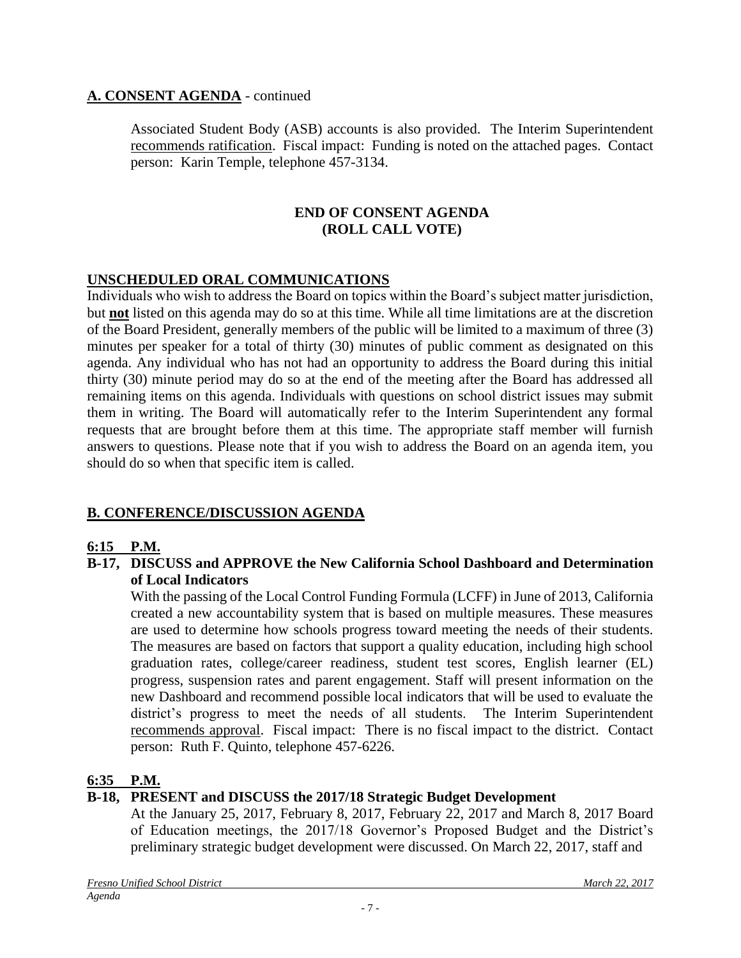Associated Student Body (ASB) accounts is also provided. The Interim Superintendent recommends ratification. Fiscal impact: Funding is noted on the attached pages. Contact person: Karin Temple, telephone 457-3134.

#### **END OF CONSENT AGENDA (ROLL CALL VOTE)**

# **UNSCHEDULED ORAL COMMUNICATIONS**

Individuals who wish to address the Board on topics within the Board's subject matter jurisdiction, but **not** listed on this agenda may do so at this time. While all time limitations are at the discretion of the Board President, generally members of the public will be limited to a maximum of three (3) minutes per speaker for a total of thirty (30) minutes of public comment as designated on this agenda. Any individual who has not had an opportunity to address the Board during this initial thirty (30) minute period may do so at the end of the meeting after the Board has addressed all remaining items on this agenda. Individuals with questions on school district issues may submit them in writing. The Board will automatically refer to the Interim Superintendent any formal requests that are brought before them at this time. The appropriate staff member will furnish answers to questions. Please note that if you wish to address the Board on an agenda item, you should do so when that specific item is called.

# **B. CONFERENCE/DISCUSSION AGENDA**

### **6:15 P.M.**

### **B-17, DISCUSS and APPROVE the New California School Dashboard and Determination of Local Indicators**

With the passing of the Local Control Funding Formula (LCFF) in June of 2013, California created a new accountability system that is based on multiple measures. These measures are used to determine how schools progress toward meeting the needs of their students. The measures are based on factors that support a quality education, including high school graduation rates, college/career readiness, student test scores, English learner (EL) progress, suspension rates and parent engagement. Staff will present information on the new Dashboard and recommend possible local indicators that will be used to evaluate the district's progress to meet the needs of all students. The Interim Superintendent recommends approval. Fiscal impact: There is no fiscal impact to the district. Contact person: Ruth F. Quinto, telephone 457-6226.

### **6:35 P.M.**

### **B-18, PRESENT and DISCUSS the 2017/18 Strategic Budget Development**

At the January 25, 2017, February 8, 2017, February 22, 2017 and March 8, 2017 Board of Education meetings, the 2017/18 Governor's Proposed Budget and the District's preliminary strategic budget development were discussed. On March 22, 2017, staff and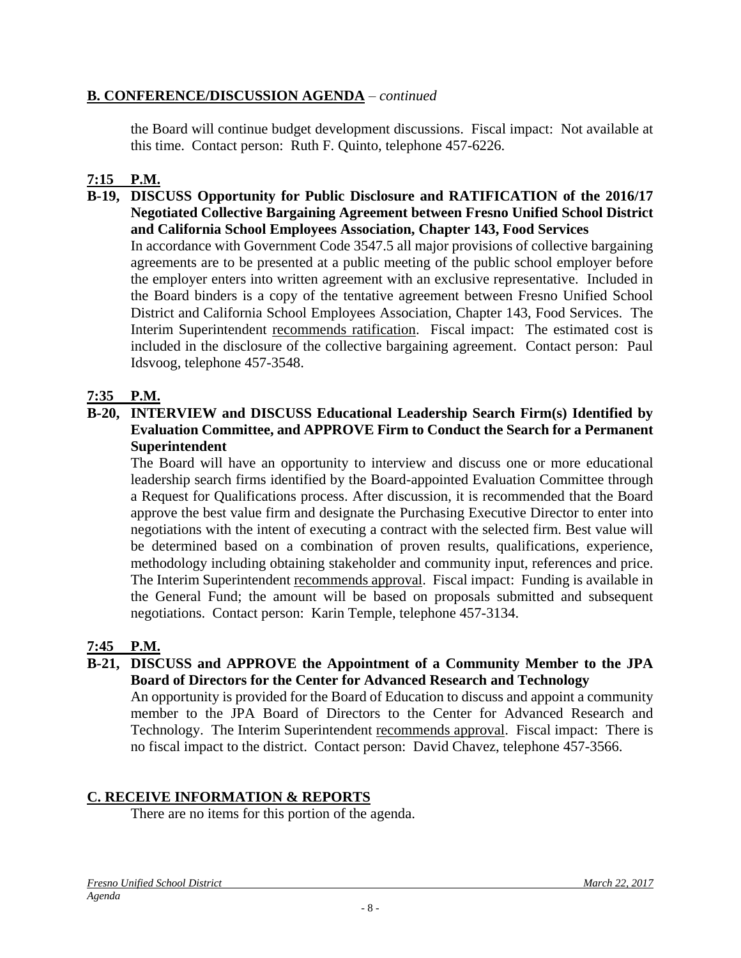### **B. CONFERENCE/DISCUSSION AGENDA** – *continued*

the Board will continue budget development discussions. Fiscal impact: Not available at this time. Contact person: Ruth F. Quinto, telephone 457-6226.

# **7:15 P.M.**

#### **B-19, DISCUSS Opportunity for Public Disclosure and RATIFICATION of the 2016/17 Negotiated Collective Bargaining Agreement between Fresno Unified School District and California School Employees Association, Chapter 143, Food Services**

In accordance with Government Code 3547.5 all major provisions of collective bargaining agreements are to be presented at a public meeting of the public school employer before the employer enters into written agreement with an exclusive representative. Included in the Board binders is a copy of the tentative agreement between Fresno Unified School District and California School Employees Association, Chapter 143, Food Services. The Interim Superintendent recommends ratification. Fiscal impact: The estimated cost is included in the disclosure of the collective bargaining agreement. Contact person: Paul Idsvoog, telephone 457-3548.

### **7:35 P.M.**

### **B-20, INTERVIEW and DISCUSS Educational Leadership Search Firm(s) Identified by Evaluation Committee, and APPROVE Firm to Conduct the Search for a Permanent Superintendent**

The Board will have an opportunity to interview and discuss one or more educational leadership search firms identified by the Board-appointed Evaluation Committee through a Request for Qualifications process. After discussion, it is recommended that the Board approve the best value firm and designate the Purchasing Executive Director to enter into negotiations with the intent of executing a contract with the selected firm. Best value will be determined based on a combination of proven results, qualifications, experience, methodology including obtaining stakeholder and community input, references and price. The Interim Superintendent recommends approval. Fiscal impact: Funding is available in the General Fund; the amount will be based on proposals submitted and subsequent negotiations. Contact person: Karin Temple, telephone 457-3134.

### **7:45 P.M.**

### **B-21, DISCUSS and APPROVE the Appointment of a Community Member to the JPA Board of Directors for the Center for Advanced Research and Technology**

An opportunity is provided for the Board of Education to discuss and appoint a community member to the JPA Board of Directors to the Center for Advanced Research and Technology. The Interim Superintendent recommends approval. Fiscal impact: There is no fiscal impact to the district. Contact person: David Chavez, telephone 457-3566.

### **C. RECEIVE INFORMATION & REPORTS**

There are no items for this portion of the agenda.